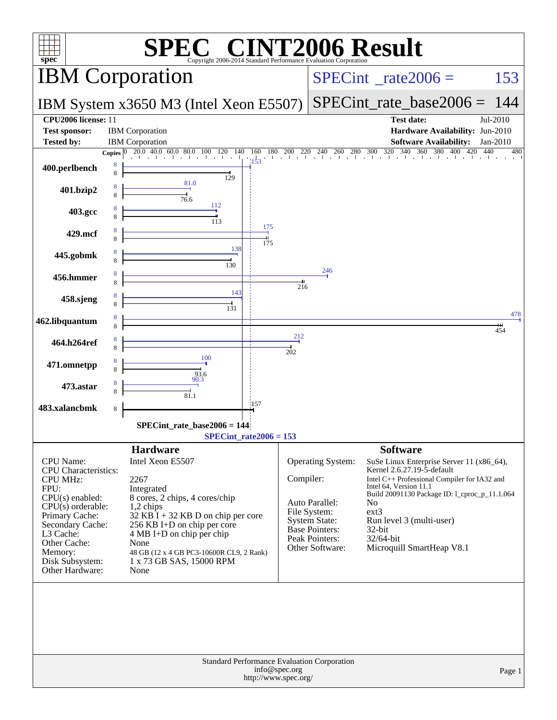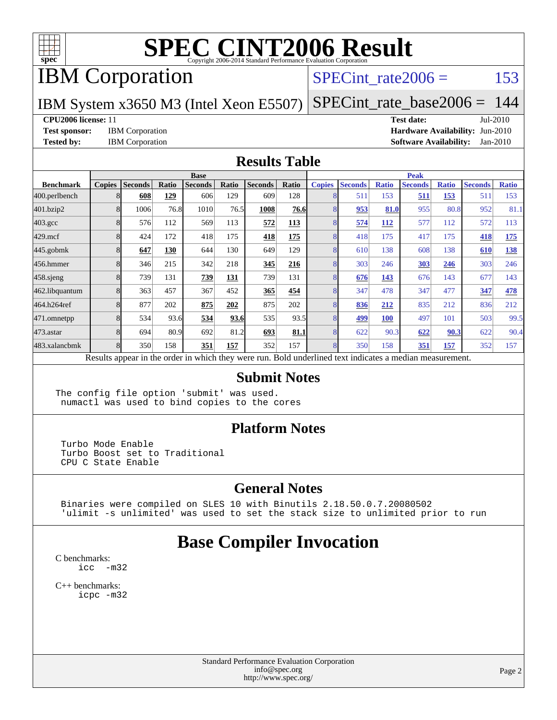

## IBM Corporation

### SPECint rate $2006 =$  153

IBM System x3650 M3 (Intel Xeon E5507)

[SPECint\\_rate\\_base2006 =](http://www.spec.org/auto/cpu2006/Docs/result-fields.html#SPECintratebase2006) 144

#### **[CPU2006 license:](http://www.spec.org/auto/cpu2006/Docs/result-fields.html#CPU2006license)** 11 **[Test date:](http://www.spec.org/auto/cpu2006/Docs/result-fields.html#Testdate)** Jul-2010

**[Test sponsor:](http://www.spec.org/auto/cpu2006/Docs/result-fields.html#Testsponsor)** IBM Corporation **[Hardware Availability:](http://www.spec.org/auto/cpu2006/Docs/result-fields.html#HardwareAvailability)** Jun-2010 **[Tested by:](http://www.spec.org/auto/cpu2006/Docs/result-fields.html#Testedby)** IBM Corporation **[Software Availability:](http://www.spec.org/auto/cpu2006/Docs/result-fields.html#SoftwareAvailability)** Jan-2010

#### **[Results Table](http://www.spec.org/auto/cpu2006/Docs/result-fields.html#ResultsTable)**

|                    | <b>Base</b>   |                |       |                                                                                                          |       |                |       | <b>Peak</b>   |                |              |                |              |                |              |
|--------------------|---------------|----------------|-------|----------------------------------------------------------------------------------------------------------|-------|----------------|-------|---------------|----------------|--------------|----------------|--------------|----------------|--------------|
| <b>Benchmark</b>   | <b>Copies</b> | <b>Seconds</b> | Ratio | <b>Seconds</b>                                                                                           | Ratio | <b>Seconds</b> | Ratio | <b>Copies</b> | <b>Seconds</b> | <b>Ratio</b> | <b>Seconds</b> | <b>Ratio</b> | <b>Seconds</b> | <b>Ratio</b> |
| 400.perlbench      |               | 608            | 129   | 606                                                                                                      | 129   | 609            | 128   | 8             | 511            | 153          | 511            | 153          | 511            | 153          |
| 401.bzip2          |               | 1006           | 76.8  | 1010                                                                                                     | 76.5  | 1008           | 76.6  | 8             | 953            | 81.0         | 955            | 80.8         | 952            | 81.1         |
| $403.\mathrm{gcc}$ |               | 576            | 112   | 569                                                                                                      | 113   | 572            | 113   | 8             | 574            | <b>112</b>   | 577            | 112          | 572            | 113          |
| $429$ .mcf         |               | 424            | 172   | 418                                                                                                      | 175   | 418            | 175   | 8             | 418            | 175          | 417            | 175          | 418            | 175          |
| $445$ .gobm $k$    |               | 647            | 130   | 644                                                                                                      | 130   | 649            | 129   | 8             | 610            | 138          | 608            | 138          | 610            | 138          |
| 456.hmmer          |               | 346            | 215   | 342                                                                                                      | 218   | 345            | 216   | 8             | 303            | 246          | <u>303</u>     | 246          | 303            | 246          |
| $458$ .sjeng       |               | 739            | 131   | 739                                                                                                      | 131   | 739            | 131   | 8             | 676            | 143          | 676            | 143          | 677            | 143          |
| 462.libquantum     |               | 363            | 457   | 367                                                                                                      | 452   | 365            | 454   | 8             | 347            | 478          | 347            | 477          | 347            | <u>478</u>   |
| 464.h264ref        |               | 877            | 202   | 875                                                                                                      | 202   | 875            | 202   | 8             | 836            | 212          | 835            | 212          | 836            | 212          |
| 471.omnetpp        |               | 534            | 93.6  | 534                                                                                                      | 93.6  | 535            | 93.5  | 8             | 499            | <b>100</b>   | 497            | 101          | 503            | 99.5         |
| 473.astar          |               | 694            | 80.9  | 692                                                                                                      | 81.2  | 693            | 81.1  | 8             | 622            | 90.3         | 622            | 90.3         | 622            | 90.4         |
| 483.xalancbmk      |               | 350            | 158   | 351                                                                                                      | 157   | 352            | 157   | 8             | 350            | 158          | 351            | 157          | 352            | 157          |
|                    |               |                |       | Results appear in the order in which they were run. Bold underlined text indicates a median measurement. |       |                |       |               |                |              |                |              |                |              |

#### **[Submit Notes](http://www.spec.org/auto/cpu2006/Docs/result-fields.html#SubmitNotes)**

The config file option 'submit' was used. numactl was used to bind copies to the cores

#### **[Platform Notes](http://www.spec.org/auto/cpu2006/Docs/result-fields.html#PlatformNotes)**

 Turbo Mode Enable Turbo Boost set to Traditional CPU C State Enable

#### **[General Notes](http://www.spec.org/auto/cpu2006/Docs/result-fields.html#GeneralNotes)**

 Binaries were compiled on SLES 10 with Binutils 2.18.50.0.7.20080502 'ulimit -s unlimited' was used to set the stack size to unlimited prior to run

## **[Base Compiler Invocation](http://www.spec.org/auto/cpu2006/Docs/result-fields.html#BaseCompilerInvocation)**

[C benchmarks](http://www.spec.org/auto/cpu2006/Docs/result-fields.html#Cbenchmarks): [icc -m32](http://www.spec.org/cpu2006/results/res2010q3/cpu2006-20100719-12554.flags.html#user_CCbase_intel_icc_32bit_5ff4a39e364c98233615fdd38438c6f2)

[C++ benchmarks:](http://www.spec.org/auto/cpu2006/Docs/result-fields.html#CXXbenchmarks) [icpc -m32](http://www.spec.org/cpu2006/results/res2010q3/cpu2006-20100719-12554.flags.html#user_CXXbase_intel_icpc_32bit_4e5a5ef1a53fd332b3c49e69c3330699)

> Standard Performance Evaluation Corporation [info@spec.org](mailto:info@spec.org) <http://www.spec.org/>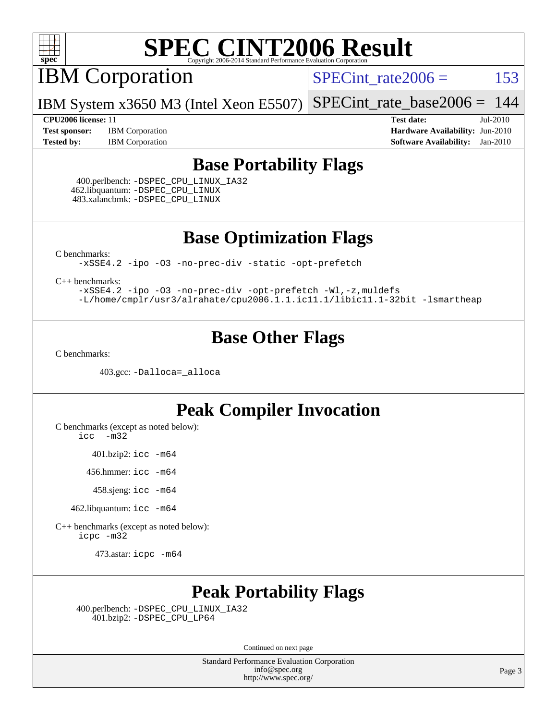

IBM Corporation

 $SPECTnt_rate2006 = 153$ 

IBM System x3650 M3 (Intel Xeon E5507) [SPECint\\_rate\\_base2006 =](http://www.spec.org/auto/cpu2006/Docs/result-fields.html#SPECintratebase2006) 144

**[Test sponsor:](http://www.spec.org/auto/cpu2006/Docs/result-fields.html#Testsponsor)** IBM Corporation **[Hardware Availability:](http://www.spec.org/auto/cpu2006/Docs/result-fields.html#HardwareAvailability)** Jun-2010

**[CPU2006 license:](http://www.spec.org/auto/cpu2006/Docs/result-fields.html#CPU2006license)** 11 **[Test date:](http://www.spec.org/auto/cpu2006/Docs/result-fields.html#Testdate)** Jul-2010 **[Tested by:](http://www.spec.org/auto/cpu2006/Docs/result-fields.html#Testedby)** IBM Corporation **[Software Availability:](http://www.spec.org/auto/cpu2006/Docs/result-fields.html#SoftwareAvailability)** Jan-2010

### **[Base Portability Flags](http://www.spec.org/auto/cpu2006/Docs/result-fields.html#BasePortabilityFlags)**

 400.perlbench: [-DSPEC\\_CPU\\_LINUX\\_IA32](http://www.spec.org/cpu2006/results/res2010q3/cpu2006-20100719-12554.flags.html#b400.perlbench_baseCPORTABILITY_DSPEC_CPU_LINUX_IA32) 462.libquantum: [-DSPEC\\_CPU\\_LINUX](http://www.spec.org/cpu2006/results/res2010q3/cpu2006-20100719-12554.flags.html#b462.libquantum_baseCPORTABILITY_DSPEC_CPU_LINUX) 483.xalancbmk: [-DSPEC\\_CPU\\_LINUX](http://www.spec.org/cpu2006/results/res2010q3/cpu2006-20100719-12554.flags.html#b483.xalancbmk_baseCXXPORTABILITY_DSPEC_CPU_LINUX)

**[Base Optimization Flags](http://www.spec.org/auto/cpu2006/Docs/result-fields.html#BaseOptimizationFlags)**

[C benchmarks](http://www.spec.org/auto/cpu2006/Docs/result-fields.html#Cbenchmarks):

[-xSSE4.2](http://www.spec.org/cpu2006/results/res2010q3/cpu2006-20100719-12554.flags.html#user_CCbase_f-xSSE42_f91528193cf0b216347adb8b939d4107) [-ipo](http://www.spec.org/cpu2006/results/res2010q3/cpu2006-20100719-12554.flags.html#user_CCbase_f-ipo) [-O3](http://www.spec.org/cpu2006/results/res2010q3/cpu2006-20100719-12554.flags.html#user_CCbase_f-O3) [-no-prec-div](http://www.spec.org/cpu2006/results/res2010q3/cpu2006-20100719-12554.flags.html#user_CCbase_f-no-prec-div) [-static](http://www.spec.org/cpu2006/results/res2010q3/cpu2006-20100719-12554.flags.html#user_CCbase_f-static) [-opt-prefetch](http://www.spec.org/cpu2006/results/res2010q3/cpu2006-20100719-12554.flags.html#user_CCbase_f-opt-prefetch)

[C++ benchmarks:](http://www.spec.org/auto/cpu2006/Docs/result-fields.html#CXXbenchmarks)

[-xSSE4.2](http://www.spec.org/cpu2006/results/res2010q3/cpu2006-20100719-12554.flags.html#user_CXXbase_f-xSSE42_f91528193cf0b216347adb8b939d4107) [-ipo](http://www.spec.org/cpu2006/results/res2010q3/cpu2006-20100719-12554.flags.html#user_CXXbase_f-ipo) [-O3](http://www.spec.org/cpu2006/results/res2010q3/cpu2006-20100719-12554.flags.html#user_CXXbase_f-O3) [-no-prec-div](http://www.spec.org/cpu2006/results/res2010q3/cpu2006-20100719-12554.flags.html#user_CXXbase_f-no-prec-div) [-opt-prefetch](http://www.spec.org/cpu2006/results/res2010q3/cpu2006-20100719-12554.flags.html#user_CXXbase_f-opt-prefetch) [-Wl,-z,muldefs](http://www.spec.org/cpu2006/results/res2010q3/cpu2006-20100719-12554.flags.html#user_CXXbase_link_force_multiple1_74079c344b956b9658436fd1b6dd3a8a) [-L/home/cmplr/usr3/alrahate/cpu2006.1.1.ic11.1/libic11.1-32bit -lsmartheap](http://www.spec.org/cpu2006/results/res2010q3/cpu2006-20100719-12554.flags.html#user_CXXbase_SmartHeap_d86dffe4a79b79ef8890d5cce17030c3)

### **[Base Other Flags](http://www.spec.org/auto/cpu2006/Docs/result-fields.html#BaseOtherFlags)**

[C benchmarks](http://www.spec.org/auto/cpu2006/Docs/result-fields.html#Cbenchmarks):

403.gcc: [-Dalloca=\\_alloca](http://www.spec.org/cpu2006/results/res2010q3/cpu2006-20100719-12554.flags.html#b403.gcc_baseEXTRA_CFLAGS_Dalloca_be3056838c12de2578596ca5467af7f3)

#### **[Peak Compiler Invocation](http://www.spec.org/auto/cpu2006/Docs/result-fields.html#PeakCompilerInvocation)**

[C benchmarks \(except as noted below\)](http://www.spec.org/auto/cpu2006/Docs/result-fields.html#Cbenchmarksexceptasnotedbelow):

[icc -m32](http://www.spec.org/cpu2006/results/res2010q3/cpu2006-20100719-12554.flags.html#user_CCpeak_intel_icc_32bit_5ff4a39e364c98233615fdd38438c6f2)

401.bzip2: [icc -m64](http://www.spec.org/cpu2006/results/res2010q3/cpu2006-20100719-12554.flags.html#user_peakCCLD401_bzip2_intel_icc_64bit_bda6cc9af1fdbb0edc3795bac97ada53)

456.hmmer: [icc -m64](http://www.spec.org/cpu2006/results/res2010q3/cpu2006-20100719-12554.flags.html#user_peakCCLD456_hmmer_intel_icc_64bit_bda6cc9af1fdbb0edc3795bac97ada53)

458.sjeng: [icc -m64](http://www.spec.org/cpu2006/results/res2010q3/cpu2006-20100719-12554.flags.html#user_peakCCLD458_sjeng_intel_icc_64bit_bda6cc9af1fdbb0edc3795bac97ada53)

462.libquantum: [icc -m64](http://www.spec.org/cpu2006/results/res2010q3/cpu2006-20100719-12554.flags.html#user_peakCCLD462_libquantum_intel_icc_64bit_bda6cc9af1fdbb0edc3795bac97ada53)

[C++ benchmarks \(except as noted below\):](http://www.spec.org/auto/cpu2006/Docs/result-fields.html#CXXbenchmarksexceptasnotedbelow) [icpc -m32](http://www.spec.org/cpu2006/results/res2010q3/cpu2006-20100719-12554.flags.html#user_CXXpeak_intel_icpc_32bit_4e5a5ef1a53fd332b3c49e69c3330699)

473.astar: [icpc -m64](http://www.spec.org/cpu2006/results/res2010q3/cpu2006-20100719-12554.flags.html#user_peakCXXLD473_astar_intel_icpc_64bit_fc66a5337ce925472a5c54ad6a0de310)

## **[Peak Portability Flags](http://www.spec.org/auto/cpu2006/Docs/result-fields.html#PeakPortabilityFlags)**

 400.perlbench: [-DSPEC\\_CPU\\_LINUX\\_IA32](http://www.spec.org/cpu2006/results/res2010q3/cpu2006-20100719-12554.flags.html#b400.perlbench_peakCPORTABILITY_DSPEC_CPU_LINUX_IA32) 401.bzip2: [-DSPEC\\_CPU\\_LP64](http://www.spec.org/cpu2006/results/res2010q3/cpu2006-20100719-12554.flags.html#suite_peakCPORTABILITY401_bzip2_DSPEC_CPU_LP64)

Continued on next page

Standard Performance Evaluation Corporation [info@spec.org](mailto:info@spec.org) <http://www.spec.org/>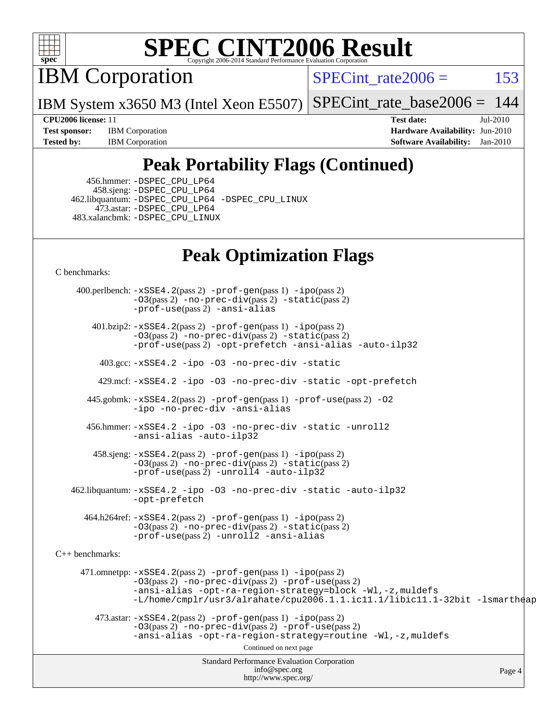

IBM Corporation

SPECint rate $2006 = 153$ 

IBM System x3650 M3 (Intel Xeon E5507) [SPECint\\_rate\\_base2006 =](http://www.spec.org/auto/cpu2006/Docs/result-fields.html#SPECintratebase2006)  $144$ 

**[Test sponsor:](http://www.spec.org/auto/cpu2006/Docs/result-fields.html#Testsponsor)** IBM Corporation **[Hardware Availability:](http://www.spec.org/auto/cpu2006/Docs/result-fields.html#HardwareAvailability)** Jun-2010 **[Tested by:](http://www.spec.org/auto/cpu2006/Docs/result-fields.html#Testedby)** IBM Corporation **[Software Availability:](http://www.spec.org/auto/cpu2006/Docs/result-fields.html#SoftwareAvailability)** Jan-2010

**[CPU2006 license:](http://www.spec.org/auto/cpu2006/Docs/result-fields.html#CPU2006license)** 11 **[Test date:](http://www.spec.org/auto/cpu2006/Docs/result-fields.html#Testdate)** Jul-2010

## **[Peak Portability Flags \(Continued\)](http://www.spec.org/auto/cpu2006/Docs/result-fields.html#PeakPortabilityFlags)**

 456.hmmer: [-DSPEC\\_CPU\\_LP64](http://www.spec.org/cpu2006/results/res2010q3/cpu2006-20100719-12554.flags.html#suite_peakCPORTABILITY456_hmmer_DSPEC_CPU_LP64) 458.sjeng: [-DSPEC\\_CPU\\_LP64](http://www.spec.org/cpu2006/results/res2010q3/cpu2006-20100719-12554.flags.html#suite_peakCPORTABILITY458_sjeng_DSPEC_CPU_LP64) 462.libquantum: [-DSPEC\\_CPU\\_LP64](http://www.spec.org/cpu2006/results/res2010q3/cpu2006-20100719-12554.flags.html#suite_peakCPORTABILITY462_libquantum_DSPEC_CPU_LP64) [-DSPEC\\_CPU\\_LINUX](http://www.spec.org/cpu2006/results/res2010q3/cpu2006-20100719-12554.flags.html#b462.libquantum_peakCPORTABILITY_DSPEC_CPU_LINUX) 473.astar: [-DSPEC\\_CPU\\_LP64](http://www.spec.org/cpu2006/results/res2010q3/cpu2006-20100719-12554.flags.html#suite_peakCXXPORTABILITY473_astar_DSPEC_CPU_LP64) 483.xalancbmk: [-DSPEC\\_CPU\\_LINUX](http://www.spec.org/cpu2006/results/res2010q3/cpu2006-20100719-12554.flags.html#b483.xalancbmk_peakCXXPORTABILITY_DSPEC_CPU_LINUX)

## **[Peak Optimization Flags](http://www.spec.org/auto/cpu2006/Docs/result-fields.html#PeakOptimizationFlags)**

[C benchmarks](http://www.spec.org/auto/cpu2006/Docs/result-fields.html#Cbenchmarks):

Standard Performance Evaluation Corporation [info@spec.org](mailto:info@spec.org) <http://www.spec.org/> Page 4 400.perlbench: [-xSSE4.2](http://www.spec.org/cpu2006/results/res2010q3/cpu2006-20100719-12554.flags.html#user_peakPASS2_CFLAGSPASS2_LDCFLAGS400_perlbench_f-xSSE42_f91528193cf0b216347adb8b939d4107)(pass 2) [-prof-gen](http://www.spec.org/cpu2006/results/res2010q3/cpu2006-20100719-12554.flags.html#user_peakPASS1_CFLAGSPASS1_LDCFLAGS400_perlbench_prof_gen_e43856698f6ca7b7e442dfd80e94a8fc)(pass 1) [-ipo](http://www.spec.org/cpu2006/results/res2010q3/cpu2006-20100719-12554.flags.html#user_peakPASS2_CFLAGSPASS2_LDCFLAGS400_perlbench_f-ipo)(pass 2) [-O3](http://www.spec.org/cpu2006/results/res2010q3/cpu2006-20100719-12554.flags.html#user_peakPASS2_CFLAGSPASS2_LDCFLAGS400_perlbench_f-O3)(pass 2) [-no-prec-div](http://www.spec.org/cpu2006/results/res2010q3/cpu2006-20100719-12554.flags.html#user_peakPASS2_CFLAGSPASS2_LDCFLAGS400_perlbench_f-no-prec-div)(pass 2) [-static](http://www.spec.org/cpu2006/results/res2010q3/cpu2006-20100719-12554.flags.html#user_peakPASS2_CFLAGSPASS2_LDCFLAGS400_perlbench_f-static)(pass 2) [-prof-use](http://www.spec.org/cpu2006/results/res2010q3/cpu2006-20100719-12554.flags.html#user_peakPASS2_CFLAGSPASS2_LDCFLAGS400_perlbench_prof_use_bccf7792157ff70d64e32fe3e1250b55)(pass 2) [-ansi-alias](http://www.spec.org/cpu2006/results/res2010q3/cpu2006-20100719-12554.flags.html#user_peakCOPTIMIZE400_perlbench_f-ansi-alias) 401.bzip2: [-xSSE4.2](http://www.spec.org/cpu2006/results/res2010q3/cpu2006-20100719-12554.flags.html#user_peakPASS2_CFLAGSPASS2_LDCFLAGS401_bzip2_f-xSSE42_f91528193cf0b216347adb8b939d4107)(pass 2) [-prof-gen](http://www.spec.org/cpu2006/results/res2010q3/cpu2006-20100719-12554.flags.html#user_peakPASS1_CFLAGSPASS1_LDCFLAGS401_bzip2_prof_gen_e43856698f6ca7b7e442dfd80e94a8fc)(pass 1) [-ipo](http://www.spec.org/cpu2006/results/res2010q3/cpu2006-20100719-12554.flags.html#user_peakPASS2_CFLAGSPASS2_LDCFLAGS401_bzip2_f-ipo)(pass 2) [-O3](http://www.spec.org/cpu2006/results/res2010q3/cpu2006-20100719-12554.flags.html#user_peakPASS2_CFLAGSPASS2_LDCFLAGS401_bzip2_f-O3)(pass 2) [-no-prec-div](http://www.spec.org/cpu2006/results/res2010q3/cpu2006-20100719-12554.flags.html#user_peakPASS2_CFLAGSPASS2_LDCFLAGS401_bzip2_f-no-prec-div)(pass 2) [-static](http://www.spec.org/cpu2006/results/res2010q3/cpu2006-20100719-12554.flags.html#user_peakPASS2_CFLAGSPASS2_LDCFLAGS401_bzip2_f-static)(pass 2) [-prof-use](http://www.spec.org/cpu2006/results/res2010q3/cpu2006-20100719-12554.flags.html#user_peakPASS2_CFLAGSPASS2_LDCFLAGS401_bzip2_prof_use_bccf7792157ff70d64e32fe3e1250b55)(pass 2) [-opt-prefetch](http://www.spec.org/cpu2006/results/res2010q3/cpu2006-20100719-12554.flags.html#user_peakCOPTIMIZE401_bzip2_f-opt-prefetch) [-ansi-alias](http://www.spec.org/cpu2006/results/res2010q3/cpu2006-20100719-12554.flags.html#user_peakCOPTIMIZE401_bzip2_f-ansi-alias) [-auto-ilp32](http://www.spec.org/cpu2006/results/res2010q3/cpu2006-20100719-12554.flags.html#user_peakCOPTIMIZE401_bzip2_f-auto-ilp32) 403.gcc: [-xSSE4.2](http://www.spec.org/cpu2006/results/res2010q3/cpu2006-20100719-12554.flags.html#user_peakCOPTIMIZE403_gcc_f-xSSE42_f91528193cf0b216347adb8b939d4107) [-ipo](http://www.spec.org/cpu2006/results/res2010q3/cpu2006-20100719-12554.flags.html#user_peakCOPTIMIZE403_gcc_f-ipo) [-O3](http://www.spec.org/cpu2006/results/res2010q3/cpu2006-20100719-12554.flags.html#user_peakCOPTIMIZE403_gcc_f-O3) [-no-prec-div](http://www.spec.org/cpu2006/results/res2010q3/cpu2006-20100719-12554.flags.html#user_peakCOPTIMIZE403_gcc_f-no-prec-div) [-static](http://www.spec.org/cpu2006/results/res2010q3/cpu2006-20100719-12554.flags.html#user_peakCOPTIMIZE403_gcc_f-static) 429.mcf: [-xSSE4.2](http://www.spec.org/cpu2006/results/res2010q3/cpu2006-20100719-12554.flags.html#user_peakCOPTIMIZE429_mcf_f-xSSE42_f91528193cf0b216347adb8b939d4107) [-ipo](http://www.spec.org/cpu2006/results/res2010q3/cpu2006-20100719-12554.flags.html#user_peakCOPTIMIZE429_mcf_f-ipo) [-O3](http://www.spec.org/cpu2006/results/res2010q3/cpu2006-20100719-12554.flags.html#user_peakCOPTIMIZE429_mcf_f-O3) [-no-prec-div](http://www.spec.org/cpu2006/results/res2010q3/cpu2006-20100719-12554.flags.html#user_peakCOPTIMIZE429_mcf_f-no-prec-div) [-static](http://www.spec.org/cpu2006/results/res2010q3/cpu2006-20100719-12554.flags.html#user_peakCOPTIMIZE429_mcf_f-static) [-opt-prefetch](http://www.spec.org/cpu2006/results/res2010q3/cpu2006-20100719-12554.flags.html#user_peakCOPTIMIZE429_mcf_f-opt-prefetch) 445.gobmk: [-xSSE4.2](http://www.spec.org/cpu2006/results/res2010q3/cpu2006-20100719-12554.flags.html#user_peakPASS2_CFLAGSPASS2_LDCFLAGS445_gobmk_f-xSSE42_f91528193cf0b216347adb8b939d4107)(pass 2) [-prof-gen](http://www.spec.org/cpu2006/results/res2010q3/cpu2006-20100719-12554.flags.html#user_peakPASS1_CFLAGSPASS1_LDCFLAGS445_gobmk_prof_gen_e43856698f6ca7b7e442dfd80e94a8fc)(pass 1) [-prof-use](http://www.spec.org/cpu2006/results/res2010q3/cpu2006-20100719-12554.flags.html#user_peakPASS2_CFLAGSPASS2_LDCFLAGS445_gobmk_prof_use_bccf7792157ff70d64e32fe3e1250b55)(pass 2) [-O2](http://www.spec.org/cpu2006/results/res2010q3/cpu2006-20100719-12554.flags.html#user_peakCOPTIMIZE445_gobmk_f-O2) [-ipo](http://www.spec.org/cpu2006/results/res2010q3/cpu2006-20100719-12554.flags.html#user_peakCOPTIMIZE445_gobmk_f-ipo) [-no-prec-div](http://www.spec.org/cpu2006/results/res2010q3/cpu2006-20100719-12554.flags.html#user_peakCOPTIMIZE445_gobmk_f-no-prec-div) [-ansi-alias](http://www.spec.org/cpu2006/results/res2010q3/cpu2006-20100719-12554.flags.html#user_peakCOPTIMIZE445_gobmk_f-ansi-alias) 456.hmmer: [-xSSE4.2](http://www.spec.org/cpu2006/results/res2010q3/cpu2006-20100719-12554.flags.html#user_peakCOPTIMIZE456_hmmer_f-xSSE42_f91528193cf0b216347adb8b939d4107) [-ipo](http://www.spec.org/cpu2006/results/res2010q3/cpu2006-20100719-12554.flags.html#user_peakCOPTIMIZE456_hmmer_f-ipo) [-O3](http://www.spec.org/cpu2006/results/res2010q3/cpu2006-20100719-12554.flags.html#user_peakCOPTIMIZE456_hmmer_f-O3) [-no-prec-div](http://www.spec.org/cpu2006/results/res2010q3/cpu2006-20100719-12554.flags.html#user_peakCOPTIMIZE456_hmmer_f-no-prec-div) [-static](http://www.spec.org/cpu2006/results/res2010q3/cpu2006-20100719-12554.flags.html#user_peakCOPTIMIZE456_hmmer_f-static) [-unroll2](http://www.spec.org/cpu2006/results/res2010q3/cpu2006-20100719-12554.flags.html#user_peakCOPTIMIZE456_hmmer_f-unroll_784dae83bebfb236979b41d2422d7ec2) [-ansi-alias](http://www.spec.org/cpu2006/results/res2010q3/cpu2006-20100719-12554.flags.html#user_peakCOPTIMIZE456_hmmer_f-ansi-alias) [-auto-ilp32](http://www.spec.org/cpu2006/results/res2010q3/cpu2006-20100719-12554.flags.html#user_peakCOPTIMIZE456_hmmer_f-auto-ilp32) 458.sjeng: [-xSSE4.2](http://www.spec.org/cpu2006/results/res2010q3/cpu2006-20100719-12554.flags.html#user_peakPASS2_CFLAGSPASS2_LDCFLAGS458_sjeng_f-xSSE42_f91528193cf0b216347adb8b939d4107)(pass 2) [-prof-gen](http://www.spec.org/cpu2006/results/res2010q3/cpu2006-20100719-12554.flags.html#user_peakPASS1_CFLAGSPASS1_LDCFLAGS458_sjeng_prof_gen_e43856698f6ca7b7e442dfd80e94a8fc)(pass 1) [-ipo](http://www.spec.org/cpu2006/results/res2010q3/cpu2006-20100719-12554.flags.html#user_peakPASS2_CFLAGSPASS2_LDCFLAGS458_sjeng_f-ipo)(pass 2) [-O3](http://www.spec.org/cpu2006/results/res2010q3/cpu2006-20100719-12554.flags.html#user_peakPASS2_CFLAGSPASS2_LDCFLAGS458_sjeng_f-O3)(pass 2) [-no-prec-div](http://www.spec.org/cpu2006/results/res2010q3/cpu2006-20100719-12554.flags.html#user_peakPASS2_CFLAGSPASS2_LDCFLAGS458_sjeng_f-no-prec-div)(pass 2) [-static](http://www.spec.org/cpu2006/results/res2010q3/cpu2006-20100719-12554.flags.html#user_peakPASS2_CFLAGSPASS2_LDCFLAGS458_sjeng_f-static)(pass 2) [-prof-use](http://www.spec.org/cpu2006/results/res2010q3/cpu2006-20100719-12554.flags.html#user_peakPASS2_CFLAGSPASS2_LDCFLAGS458_sjeng_prof_use_bccf7792157ff70d64e32fe3e1250b55)(pass 2) [-unroll4](http://www.spec.org/cpu2006/results/res2010q3/cpu2006-20100719-12554.flags.html#user_peakCOPTIMIZE458_sjeng_f-unroll_4e5e4ed65b7fd20bdcd365bec371b81f) [-auto-ilp32](http://www.spec.org/cpu2006/results/res2010q3/cpu2006-20100719-12554.flags.html#user_peakCOPTIMIZE458_sjeng_f-auto-ilp32) 462.libquantum: [-xSSE4.2](http://www.spec.org/cpu2006/results/res2010q3/cpu2006-20100719-12554.flags.html#user_peakCOPTIMIZE462_libquantum_f-xSSE42_f91528193cf0b216347adb8b939d4107) [-ipo](http://www.spec.org/cpu2006/results/res2010q3/cpu2006-20100719-12554.flags.html#user_peakCOPTIMIZE462_libquantum_f-ipo) [-O3](http://www.spec.org/cpu2006/results/res2010q3/cpu2006-20100719-12554.flags.html#user_peakCOPTIMIZE462_libquantum_f-O3) [-no-prec-div](http://www.spec.org/cpu2006/results/res2010q3/cpu2006-20100719-12554.flags.html#user_peakCOPTIMIZE462_libquantum_f-no-prec-div) [-static](http://www.spec.org/cpu2006/results/res2010q3/cpu2006-20100719-12554.flags.html#user_peakCOPTIMIZE462_libquantum_f-static) [-auto-ilp32](http://www.spec.org/cpu2006/results/res2010q3/cpu2006-20100719-12554.flags.html#user_peakCOPTIMIZE462_libquantum_f-auto-ilp32) [-opt-prefetch](http://www.spec.org/cpu2006/results/res2010q3/cpu2006-20100719-12554.flags.html#user_peakCOPTIMIZE462_libquantum_f-opt-prefetch) 464.h264ref: [-xSSE4.2](http://www.spec.org/cpu2006/results/res2010q3/cpu2006-20100719-12554.flags.html#user_peakPASS2_CFLAGSPASS2_LDCFLAGS464_h264ref_f-xSSE42_f91528193cf0b216347adb8b939d4107)(pass 2) [-prof-gen](http://www.spec.org/cpu2006/results/res2010q3/cpu2006-20100719-12554.flags.html#user_peakPASS1_CFLAGSPASS1_LDCFLAGS464_h264ref_prof_gen_e43856698f6ca7b7e442dfd80e94a8fc)(pass 1) [-ipo](http://www.spec.org/cpu2006/results/res2010q3/cpu2006-20100719-12554.flags.html#user_peakPASS2_CFLAGSPASS2_LDCFLAGS464_h264ref_f-ipo)(pass 2) [-O3](http://www.spec.org/cpu2006/results/res2010q3/cpu2006-20100719-12554.flags.html#user_peakPASS2_CFLAGSPASS2_LDCFLAGS464_h264ref_f-O3)(pass 2) [-no-prec-div](http://www.spec.org/cpu2006/results/res2010q3/cpu2006-20100719-12554.flags.html#user_peakPASS2_CFLAGSPASS2_LDCFLAGS464_h264ref_f-no-prec-div)(pass 2) [-static](http://www.spec.org/cpu2006/results/res2010q3/cpu2006-20100719-12554.flags.html#user_peakPASS2_CFLAGSPASS2_LDCFLAGS464_h264ref_f-static)(pass 2) [-prof-use](http://www.spec.org/cpu2006/results/res2010q3/cpu2006-20100719-12554.flags.html#user_peakPASS2_CFLAGSPASS2_LDCFLAGS464_h264ref_prof_use_bccf7792157ff70d64e32fe3e1250b55)(pass 2) [-unroll2](http://www.spec.org/cpu2006/results/res2010q3/cpu2006-20100719-12554.flags.html#user_peakCOPTIMIZE464_h264ref_f-unroll_784dae83bebfb236979b41d2422d7ec2) [-ansi-alias](http://www.spec.org/cpu2006/results/res2010q3/cpu2006-20100719-12554.flags.html#user_peakCOPTIMIZE464_h264ref_f-ansi-alias) [C++ benchmarks:](http://www.spec.org/auto/cpu2006/Docs/result-fields.html#CXXbenchmarks) 471.omnetpp: [-xSSE4.2](http://www.spec.org/cpu2006/results/res2010q3/cpu2006-20100719-12554.flags.html#user_peakPASS2_CXXFLAGSPASS2_LDCXXFLAGS471_omnetpp_f-xSSE42_f91528193cf0b216347adb8b939d4107)(pass 2) [-prof-gen](http://www.spec.org/cpu2006/results/res2010q3/cpu2006-20100719-12554.flags.html#user_peakPASS1_CXXFLAGSPASS1_LDCXXFLAGS471_omnetpp_prof_gen_e43856698f6ca7b7e442dfd80e94a8fc)(pass 1) [-ipo](http://www.spec.org/cpu2006/results/res2010q3/cpu2006-20100719-12554.flags.html#user_peakPASS2_CXXFLAGSPASS2_LDCXXFLAGS471_omnetpp_f-ipo)(pass 2) [-O3](http://www.spec.org/cpu2006/results/res2010q3/cpu2006-20100719-12554.flags.html#user_peakPASS2_CXXFLAGSPASS2_LDCXXFLAGS471_omnetpp_f-O3)(pass 2) [-no-prec-div](http://www.spec.org/cpu2006/results/res2010q3/cpu2006-20100719-12554.flags.html#user_peakPASS2_CXXFLAGSPASS2_LDCXXFLAGS471_omnetpp_f-no-prec-div)(pass 2) [-prof-use](http://www.spec.org/cpu2006/results/res2010q3/cpu2006-20100719-12554.flags.html#user_peakPASS2_CXXFLAGSPASS2_LDCXXFLAGS471_omnetpp_prof_use_bccf7792157ff70d64e32fe3e1250b55)(pass 2) [-ansi-alias](http://www.spec.org/cpu2006/results/res2010q3/cpu2006-20100719-12554.flags.html#user_peakCXXOPTIMIZE471_omnetpp_f-ansi-alias) [-opt-ra-region-strategy=block](http://www.spec.org/cpu2006/results/res2010q3/cpu2006-20100719-12554.flags.html#user_peakCXXOPTIMIZE471_omnetpp_f-opt-ra-region-strategy-block_a0a37c372d03933b2a18d4af463c1f69) [-Wl,-z,muldefs](http://www.spec.org/cpu2006/results/res2010q3/cpu2006-20100719-12554.flags.html#user_peakEXTRA_LDFLAGS471_omnetpp_link_force_multiple1_74079c344b956b9658436fd1b6dd3a8a) [-L/home/cmplr/usr3/alrahate/cpu2006.1.1.ic11.1/libic11.1-32bit -lsmartheap](http://www.spec.org/cpu2006/results/res2010q3/cpu2006-20100719-12554.flags.html#user_peakEXTRA_LIBS471_omnetpp_SmartHeap_d86dffe4a79b79ef8890d5cce17030c3)  $473.\text{astar: } -xSSE4$ .  $2(\text{pass 2})$   $-\text{prof-gen}(\text{pass 1})$   $-i\text{po}(\text{pass 2})$ [-O3](http://www.spec.org/cpu2006/results/res2010q3/cpu2006-20100719-12554.flags.html#user_peakPASS2_CXXFLAGSPASS2_LDCXXFLAGS473_astar_f-O3)(pass 2) [-no-prec-div](http://www.spec.org/cpu2006/results/res2010q3/cpu2006-20100719-12554.flags.html#user_peakPASS2_CXXFLAGSPASS2_LDCXXFLAGS473_astar_f-no-prec-div)(pass 2) [-prof-use](http://www.spec.org/cpu2006/results/res2010q3/cpu2006-20100719-12554.flags.html#user_peakPASS2_CXXFLAGSPASS2_LDCXXFLAGS473_astar_prof_use_bccf7792157ff70d64e32fe3e1250b55)(pass 2) [-ansi-alias](http://www.spec.org/cpu2006/results/res2010q3/cpu2006-20100719-12554.flags.html#user_peakCXXOPTIMIZE473_astar_f-ansi-alias) [-opt-ra-region-strategy=routine](http://www.spec.org/cpu2006/results/res2010q3/cpu2006-20100719-12554.flags.html#user_peakCXXOPTIMIZE473_astar_f-opt-ra-region-strategy-routine_ba086ea3b1d46a52e1238e2ca173ed44) [-Wl,-z,muldefs](http://www.spec.org/cpu2006/results/res2010q3/cpu2006-20100719-12554.flags.html#user_peakEXTRA_LDFLAGS473_astar_link_force_multiple1_74079c344b956b9658436fd1b6dd3a8a) Continued on next page